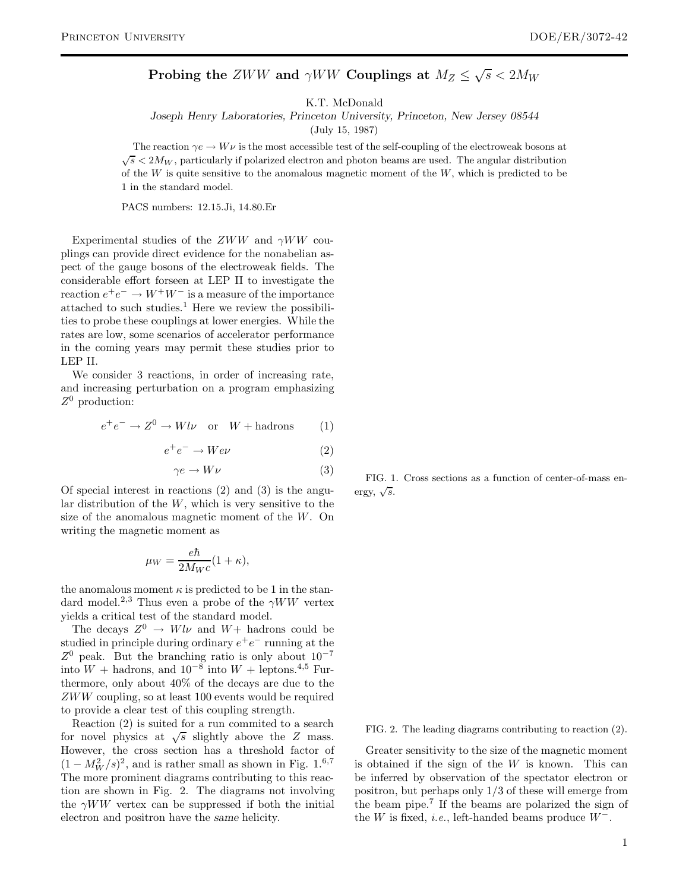**Probing the** ZWW and  $\gamma WW$  Couplings at  $M_Z \leq \sqrt{s} < 2M_W$ 

K.T. McDonald

*Joseph Henry Laboratories, Princeton University, Princeton, New Jersey 08544*

(July 15, 1987)

The reaction  $\gamma e \to W \nu$  is the most accessible test of the self-coupling of the electroweak bosons at  $\sqrt{s}$  < 2M<sub>W</sub>, particularly if polarized electron and photon beams are used. The angular distribution of the  $W$  is quite sensitive to the anomalous magnetic moment of the  $W$ , which is predicted to be 1 in the standard model.

PACS numbers: 12.15.Ji, 14.80.Er

Experimental studies of the  $ZWW$  and  $\gamma WW$  couplings can provide direct evidence for the nonabelian aspect of the gauge bosons of the electroweak fields. The considerable effort forseen at LEP II to investigate the reaction  $e^+e^- \to W^+W^-$  is a measure of the importance attached to such studies.<sup>1</sup> Here we review the possibilities to probe these couplings at lower energies. While the rates are low, some scenarios of accelerator performance in the coming years may permit these studies prior to LEP II.

We consider 3 reactions, in order of increasing rate, and increasing perturbation on a program emphasizing  $Z^0$  production:

$$
e^+e^- \to Z^0 \to Wl\nu \quad \text{or} \quad W + \text{hadrons} \tag{1}
$$

$$
e^+e^- \to W e \nu \tag{2}
$$

$$
\gamma e \to W \nu \tag{3}
$$

Of special interest in reactions (2) and (3) is the angular distribution of the  $W$ , which is very sensitive to the size of the anomalous magnetic moment of the W. On writing the magnetic moment as

$$
\mu_W = \frac{e\hbar}{2M_W c} (1 + \kappa),
$$

the anomalous moment  $\kappa$  is predicted to be 1 in the standard model.<sup>2,3</sup> Thus even a probe of the  $\gamma WW$  vertex yields a critical test of the standard model.

The decays  $Z^0 \rightarrow Wl\nu$  and  $W+$  hadrons could be studied in principle during ordinary  $e^+e^-$  running at the Z<sup>0</sup> peak. But the branching ratio is only about 10*−*<sup>7</sup> into  $W$  + hadrons, and 10<sup>-8</sup> into  $W$  + leptons.<sup>4,5</sup> Furthermore, only about 40% of the decays are due to the ZWW coupling, so at least 100 events would be required to provide a clear test of this coupling strength.

Reaction (2) is suited for a run commited to a search for novel physics at  $\sqrt{s}$  slightly above the Z mass. However, the cross section has a threshold factor of  $(1 - M_W^2/s)^2$ , and is rather small as shown in Fig. 1.<sup>6,7</sup> The more prominent diagrams contributing to this reaction are shown in Fig. 2. The diagrams not involving the  $\gamma WW$  vertex can be suppressed if both the initial electron and positron have the *same* helicity.

FIG. 1. Cross sections as a function of center-of-mass energy,  $\sqrt{s}$ .

FIG. 2. The leading diagrams contributing to reaction (2).

Greater sensitivity to the size of the magnetic moment is obtained if the sign of the  $W$  is known. This can be inferred by observation of the spectator electron or positron, but perhaps only 1/3 of these will emerge from the beam pipe.<sup>7</sup> If the beams are polarized the sign of the W is fixed, *i.e.*, left-handed beams produce W*−*.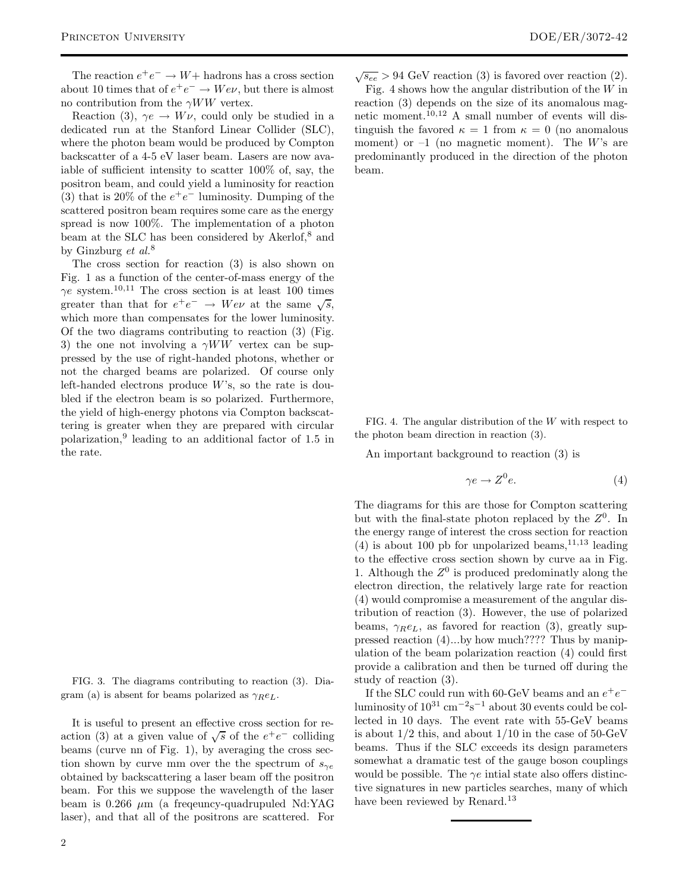The reaction  $e^+e^- \to W+$  hadrons has a cross section about 10 times that of  $e^+e^- \to W e \nu$ , but there is almost no contribution from the  $\gamma WW$  vertex.

Reaction (3),  $\gamma e \rightarrow W \nu$ , could only be studied in a dedicated run at the Stanford Linear Collider (SLC), where the photon beam would be produced by Compton backscatter of a 4-5 eV laser beam. Lasers are now avaiable of sufficient intensity to scatter 100% of, say, the positron beam, and could yield a luminosity for reaction (3) that is 20% of the e+e*<sup>−</sup>* luminosity. Dumping of the scattered positron beam requires some care as the energy spread is now 100%. The implementation of a photon beam at the SLC has been considered by Akerlof,<sup>8</sup> and by Ginzburg *et al.*<sup>8</sup>

The cross section for reaction (3) is also shown on Fig. 1 as a function of the center-of-mass energy of the  $\gamma e$  system.<sup>10,11</sup> The cross section is at least 100 times greater than that for  $e^+e^- \rightarrow W e \nu$  at the same  $\sqrt{s}$ , which more than compensates for the lower luminosity. Of the two diagrams contributing to reaction (3) (Fig. 3) the one not involving a  $\gamma WW$  vertex can be suppressed by the use of right-handed photons, whether or not the charged beams are polarized. Of course only left-handed electrons produce  $W$ 's, so the rate is doubled if the electron beam is so polarized. Furthermore, the yield of high-energy photons via Compton backscattering is greater when they are prepared with circular polarization,<sup>9</sup> leading to an additional factor of 1.5 in the rate.

FIG. 3. The diagrams contributing to reaction (3). Diagram (a) is absent for beams polarized as  $\gamma_R e_L$ .

It is useful to present an effective cross section for reaction (3) at a given value of  $\sqrt{s}$  of the  $e^+e^-$  colliding beams (curve nn of Fig. 1), by averaging the cross section shown by curve mm over the the spectrum of  $s_{\gamma e}$ obtained by backscattering a laser beam off the positron beam. For this we suppose the wavelength of the laser beam is 0.266  $\mu$ m (a freqeuncy-quadrupuled Nd:YAG laser), and that all of the positrons are scattered. For

 $\sqrt{s_{ee}}$  > 94 GeV reaction (3) is favored over reaction (2). Fig. 4 shows how the angular distribution of the  $W$  in reaction (3) depends on the size of its anomalous magnetic moment.10,<sup>12</sup> A small number of events will distinguish the favored  $\kappa = 1$  from  $\kappa = 0$  (no anomalous moment) or  $-1$  (no magnetic moment). The W's are predominantly produced in the direction of the photon beam.

FIG. 4. The angular distribution of the W with respect to the photon beam direction in reaction (3).

An important background to reaction (3) is

$$
\gamma e \to Z^0 e. \tag{4}
$$

The diagrams for this are those for Compton scattering but with the final-state photon replaced by the  $Z<sup>0</sup>$ . In the energy range of interest the cross section for reaction (4) is about 100 pb for unpolarized beams,  $11,13$  leading to the effective cross section shown by curve aa in Fig. 1. Although the  $Z^0$  is produced predominatly along the electron direction, the relatively large rate for reaction (4) would compromise a measurement of the angular distribution of reaction (3). However, the use of polarized beams,  $\gamma_R e_L$ , as favored for reaction (3), greatly suppressed reaction (4)...by how much???? Thus by manipulation of the beam polarization reaction (4) could first provide a calibration and then be turned off during the study of reaction (3).

If the SLC could run with 60-GeV beams and an  $e^+e^$ luminosity of 10<sup>31</sup> cm*−*<sup>2</sup>s*−*<sup>1</sup> about 30 events could be collected in 10 days. The event rate with 55-GeV beams is about  $1/2$  this, and about  $1/10$  in the case of  $50$ -GeV beams. Thus if the SLC exceeds its design parameters somewhat a dramatic test of the gauge boson couplings would be possible. The  $\gamma e$  intial state also offers distinctive signatures in new particles searches, many of which have been reviewed by Renard.<sup>13</sup>